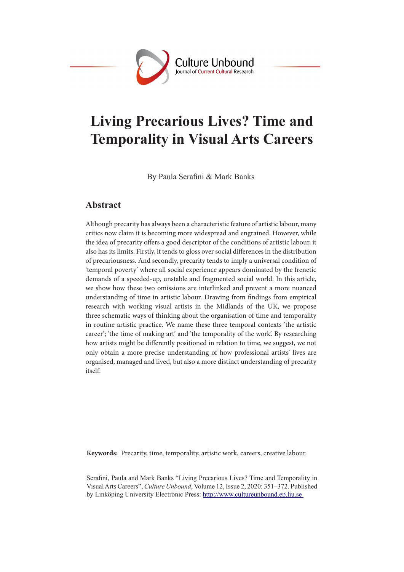

# **Living Precarious Lives? Time and Temporality in Visual Arts Careers**

By Paula Serafini & Mark Banks

## **Abstract**

Although precarity has always been a characteristic feature of artistic labour, many critics now claim it is becoming more widespread and engrained. However, while the idea of precarity offers a good descriptor of the conditions of artistic labour, it also has its limits. Firstly, it tends to gloss over social differences in the distribution of precariousness. And secondly, precarity tends to imply a universal condition of 'temporal poverty' where all social experience appears dominated by the frenetic demands of a speeded-up, unstable and fragmented social world. In this article, we show how these two omissions are interlinked and prevent a more nuanced understanding of time in artistic labour. Drawing from findings from empirical research with working visual artists in the Midlands of the UK, we propose three schematic ways of thinking about the organisation of time and temporality in routine artistic practice. We name these three temporal contexts 'the artistic career'; 'the time of making art' and 'the temporality of the work'. By researching how artists might be differently positioned in relation to time, we suggest, we not only obtain a more precise understanding of how professional artists' lives are organised, managed and lived, but also a more distinct understanding of precarity itself.

**Keywords:** Precarity, time, temporality, artistic work, careers, creative labour.

Serafini, Paula and Mark Banks "Living Precarious Lives? Time and Temporality in Visual Arts Careers", *Culture Unbound*, Volume 12, Issue 2, 2020: 351–372. Published by Linköping University Electronic Press: http://www.cultureunbound.ep.liu.se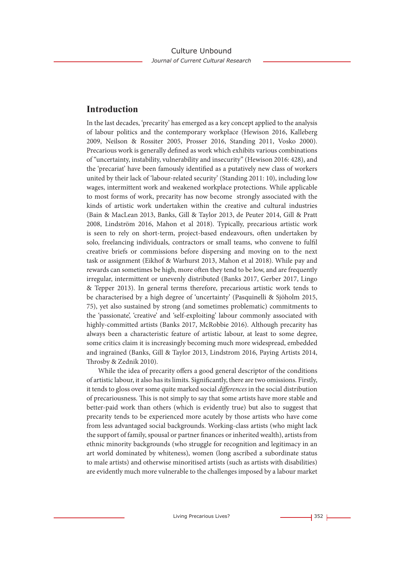## **Introduction**

In the last decades, 'precarity' has emerged as a key concept applied to the analysis of labour politics and the contemporary workplace (Hewison 2016, Kalleberg 2009, Neilson & Rossiter 2005, Prosser 2016, Standing 2011, Vosko 2000). Precarious work is generally defined as work which exhibits various combinations of "uncertainty, instability, vulnerability and insecurity" (Hewison 2016: 428), and the 'precariat' have been famously identified as a putatively new class of workers united by their lack of 'labour-related security' (Standing 2011: 10), including low wages, intermittent work and weakened workplace protections. While applicable to most forms of work, precarity has now become strongly associated with the kinds of artistic work undertaken within the creative and cultural industries (Bain & MacLean 2013, Banks, Gill & Taylor 2013, de Peuter 2014, Gill & Pratt 2008, Lindström 2016, Mahon et al 2018). Typically, precarious artistic work is seen to rely on short-term, project-based endeavours, often undertaken by solo, freelancing individuals, contractors or small teams, who convene to fulfil creative briefs or commissions before dispersing and moving on to the next task or assignment (Eikhof & Warhurst 2013, Mahon et al 2018). While pay and rewards can sometimes be high, more often they tend to be low, and are frequently irregular, intermittent or unevenly distributed (Banks 2017, Gerber 2017, Lingo & Tepper 2013). In general terms therefore, precarious artistic work tends to be characterised by a high degree of 'uncertainty' (Pasquinelli & Sjöholm 2015, 75), yet also sustained by strong (and sometimes problematic) commitments to the 'passionate', 'creative' and 'self-exploiting' labour commonly associated with highly-committed artists (Banks 2017, McRobbie 2016). Although precarity has always been a characteristic feature of artistic labour, at least to some degree, some critics claim it is increasingly becoming much more widespread, embedded and ingrained (Banks, Gill & Taylor 2013, Lindstrom 2016, Paying Artists 2014, Throsby & Zednik 2010).

While the idea of precarity offers a good general descriptor of the conditions of artistic labour, it also has its limits. Significantly, there are two omissions. Firstly, it tends to gloss over some quite marked social *differences* in the social distribution of precariousness. This is not simply to say that some artists have more stable and better-paid work than others (which is evidently true) but also to suggest that precarity tends to be experienced more acutely by those artists who have come from less advantaged social backgrounds. Working-class artists (who might lack the support of family, spousal or partner finances or inherited wealth), artists from ethnic minority backgrounds (who struggle for recognition and legitimacy in an art world dominated by whiteness), women (long ascribed a subordinate status to male artists) and otherwise minoritised artists (such as artists with disabilities) are evidently much more vulnerable to the challenges imposed by a labour market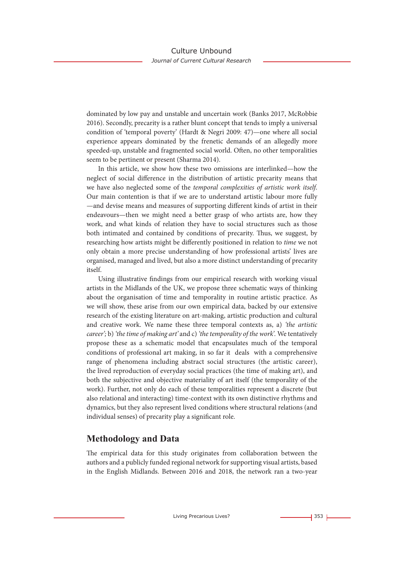dominated by low pay and unstable and uncertain work (Banks 2017, McRobbie 2016). Secondly, precarity is a rather blunt concept that tends to imply a universal condition of 'temporal poverty' (Hardt & Negri 2009: 47)—one where all social experience appears dominated by the frenetic demands of an allegedly more speeded-up, unstable and fragmented social world. Often, no other temporalities seem to be pertinent or present (Sharma 2014).

In this article, we show how these two omissions are interlinked—how the neglect of social difference in the distribution of artistic precarity means that we have also neglected some of the *temporal complexities of artistic work itself*. Our main contention is that if we are to understand artistic labour more fully —and devise means and measures of supporting different kinds of artist in their endeavours—then we might need a better grasp of who artists are, how they work, and what kinds of relation they have to social structures such as those both intimated and contained by conditions of precarity. Thus, we suggest, by researching how artists might be differently positioned in relation to *time* we not only obtain a more precise understanding of how professional artists' lives are organised, managed and lived, but also a more distinct understanding of precarity itself.

Using illustrative findings from our empirical research with working visual artists in the Midlands of the UK, we propose three schematic ways of thinking about the organisation of time and temporality in routine artistic practice. As we will show, these arise from our own empirical data, backed by our extensive research of the existing literature on art-making, artistic production and cultural and creative work. We name these three temporal contexts as, a) *'the artistic career';* b) *'the time of making art'* and c) *'the temporality of the work'.* We tentatively propose these as a schematic model that encapsulates much of the temporal conditions of professional art making, in so far it deals with a comprehensive range of phenomena including abstract social structures (the artistic career), the lived reproduction of everyday social practices (the time of making art), and both the subjective and objective materiality of art itself (the temporality of the work). Further, not only do each of these temporalities represent a discrete (but also relational and interacting) time-context with its own distinctive rhythms and dynamics, but they also represent lived conditions where structural relations (and individual senses) of precarity play a significant role.

## **Methodology and Data**

The empirical data for this study originates from collaboration between the authors and a publicly funded regional network for supporting visual artists, based in the English Midlands. Between 2016 and 2018, the network ran a two-year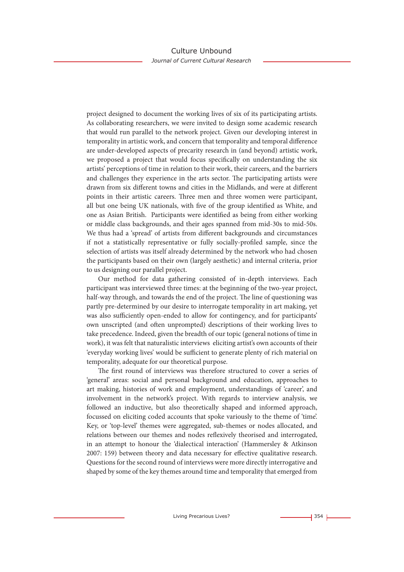project designed to document the working lives of six of its participating artists. As collaborating researchers, we were invited to design some academic research that would run parallel to the network project. Given our developing interest in temporality in artistic work, and concern that temporality and temporal difference are under-developed aspects of precarity research in (and beyond) artistic work, we proposed a project that would focus specifically on understanding the six artists' perceptions of time in relation to their work, their careers, and the barriers and challenges they experience in the arts sector. The participating artists were drawn from six different towns and cities in the Midlands, and were at different points in their artistic careers. Three men and three women were participant, all but one being UK nationals, with five of the group identified as White, and one as Asian British. Participants were identified as being from either working or middle class backgrounds, and their ages spanned from mid-30s to mid-50s. We thus had a 'spread' of artists from different backgrounds and circumstances if not a statistically representative or fully socially-profiled sample, since the selection of artists was itself already determined by the network who had chosen the participants based on their own (largely aesthetic) and internal criteria, prior to us designing our parallel project.

Our method for data gathering consisted of in-depth interviews. Each participant was interviewed three times: at the beginning of the two-year project, half-way through, and towards the end of the project. The line of questioning was partly pre-determined by our desire to interrogate temporality in art making, yet was also sufficiently open-ended to allow for contingency, and for participants' own unscripted (and often unprompted) descriptions of their working lives to take precedence. Indeed, given the breadth of our topic (general notions of time in work), it was felt that naturalistic interviews eliciting artist's own accounts of their 'everyday working lives' would be sufficient to generate plenty of rich material on temporality, adequate for our theoretical purpose.

The first round of interviews was therefore structured to cover a series of 'general' areas: social and personal background and education, approaches to art making, histories of work and employment, understandings of 'career', and involvement in the network's project. With regards to interview analysis, we followed an inductive, but also theoretically shaped and informed approach, focussed on eliciting coded accounts that spoke variously to the theme of 'time'. Key, or 'top-level' themes were aggregated, sub-themes or nodes allocated, and relations between our themes and nodes reflexively theorised and interrogated, in an attempt to honour the 'dialectical interaction' (Hammersley & Atkinson 2007: 159) between theory and data necessary for effective qualitative research. Questions for the second round of interviews were more directly interrogative and shaped by some of the key themes around time and temporality that emerged from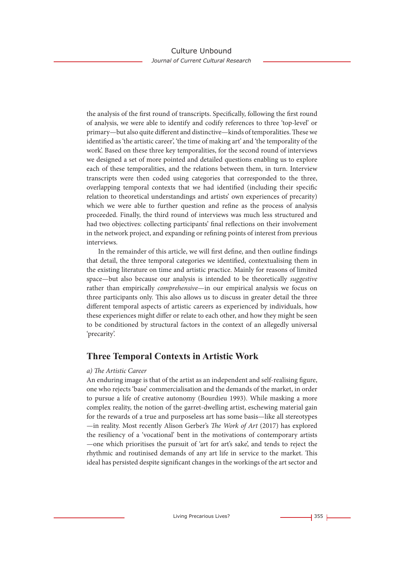the analysis of the first round of transcripts. Specifically, following the first round of analysis, we were able to identify and codify references to three 'top-level' or primary—but also quite different and distinctive—kinds of temporalities. These we identified as 'the artistic career', 'the time of making art' and 'the temporality of the work'. Based on these three key temporalities, for the second round of interviews we designed a set of more pointed and detailed questions enabling us to explore each of these temporalities, and the relations between them, in turn. Interview transcripts were then coded using categories that corresponded to the three, overlapping temporal contexts that we had identified (including their specific relation to theoretical understandings and artists' own experiences of precarity) which we were able to further question and refine as the process of analysis proceeded. Finally, the third round of interviews was much less structured and had two objectives: collecting participants' final reflections on their involvement in the network project, and expanding or refining points of interest from previous interviews.

In the remainder of this article, we will first define, and then outline findings that detail, the three temporal categories we identified, contextualising them in the existing literature on time and artistic practice. Mainly for reasons of limited space—but also because our analysis is intended to be theoretically *suggestive* rather than empirically *comprehensive*—in our empirical analysis we focus on three participants only. This also allows us to discuss in greater detail the three different temporal aspects of artistic careers as experienced by individuals, how these experiences might differ or relate to each other, and how they might be seen to be conditioned by structural factors in the context of an allegedly universal 'precarity'.

## **Three Temporal Contexts in Artistic Work**

#### *a) The Artistic Career*

An enduring image is that of the artist as an independent and self-realising figure, one who rejects 'base' commercialisation and the demands of the market, in order to pursue a life of creative autonomy (Bourdieu 1993). While masking a more complex reality, the notion of the garret-dwelling artist, eschewing material gain for the rewards of a true and purposeless art has some basis—like all stereotypes —in reality. Most recently Alison Gerber's *The Work of Art* (2017) has explored the resiliency of a 'vocational' bent in the motivations of contemporary artists —one which prioritises the pursuit of 'art for art's sake', and tends to reject the rhythmic and routinised demands of any art life in service to the market. This ideal has persisted despite significant changes in the workings of the art sector and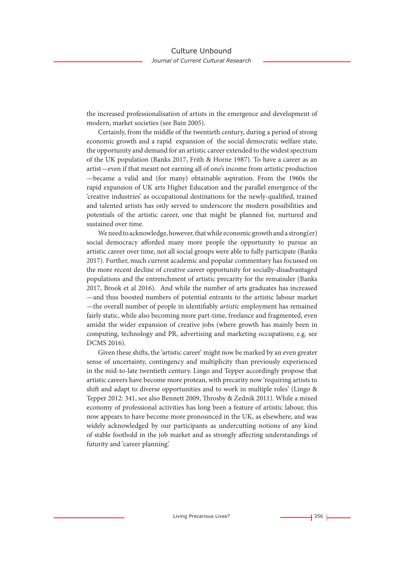the increased professionalisation of artists in the emergence and development of modern, market societies (see Bain 2005).

Certainly, from the middle of the twentieth century, during a period of strong economic growth and a rapid expansion of the social democratic welfare state, the opportunity and demand for an artistic career extended to the widest spectrum of the UK population (Banks 2017, Frith & Horne 1987). To have a career as an artist—even if that meant not earning all of one's income from artistic production —became a valid and (for many) obtainable aspiration. From the 1960s the rapid expansion of UK arts Higher Education and the parallel emergence of the 'creative industries' as occupational destinations for the newly-qualified, trained and talented artists has only served to underscore the modern possibilities and potentials of the artistic career, one that might be planned for, nurtured and sustained over time.

We need to acknowledge, however, that while economic growth and a strong(er) social democracy afforded many more people the opportunity to pursue an artistic career over time, not all social groups were able to fully participate (Banks 2017). Further, much current academic and popular commentary has focussed on the more recent decline of creative career opportunity for socially-disadvantaged populations and the entrenchment of artistic precarity for the remainder (Banks 2017, Brook et al 2016). And while the number of arts graduates has increased —and thus boosted numbers of potential entrants to the artistic labour market —the overall number of people in identifiably *artistic* employment has remained fairly static, while also becoming more part-time, freelance and fragmented, even amidst the wider expansion of creative jobs (where growth has mainly been in computing, technology and PR, advertising and marketing occupations; e.g. see DCMS 2016).

Given these shifts, the 'artistic career' might now be marked by an even greater sense of uncertainty, contingency and multiplicity than previously experienced in the mid-to-late twentieth century. Lingo and Tepper accordingly propose that artistic careers have become more protean, with precarity now 'requiring artists to shift and adapt to diverse opportunities and to work in multiple roles' (Lingo & Tepper 2012: 341, see also Bennett 2009, Throsby & Zednik 2011). While a mixed economy of professional activities has long been a feature of artistic labour, this now appears to have become more pronounced in the UK, as elsewhere, and was widely acknowledged by our participants as undercutting notions of any kind of stable foothold in the job market and as strongly affecting understandings of futurity and 'career planning'.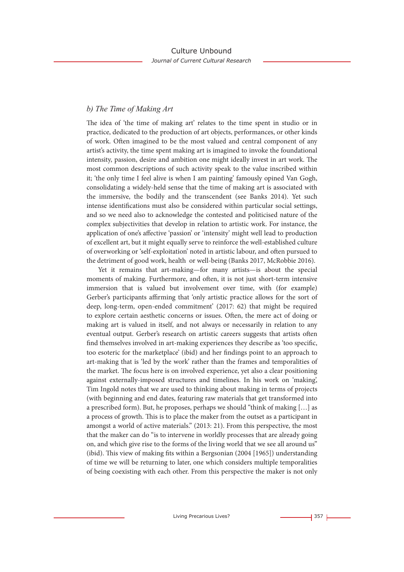#### *b) The Time of Making Art*

The idea of 'the time of making art' relates to the time spent in studio or in practice, dedicated to the production of art objects, performances, or other kinds of work. Often imagined to be the most valued and central component of any artist's activity, the time spent making art is imagined to invoke the foundational intensity, passion, desire and ambition one might ideally invest in art work. The most common descriptions of such activity speak to the value inscribed within it; 'the only time I feel alive is when I am painting' famously opined Van Gogh, consolidating a widely-held sense that the time of making art is associated with the immersive, the bodily and the transcendent (see Banks 2014). Yet such intense identifications must also be considered within particular social settings, and so we need also to acknowledge the contested and politicised nature of the complex subjectivities that develop in relation to artistic work. For instance, the application of one's affective 'passion' or 'intensity' might well lead to production of excellent art, but it might equally serve to reinforce the well-established culture of overworking or 'self-exploitation' noted in artistic labour, and often pursued to the detriment of good work, health or well-being (Banks 2017, McRobbie 2016).

Yet it remains that art-making—for many artists—is about the special moments of making. Furthermore, and often, it is not just short-term intensive immersion that is valued but involvement over time, with (for example) Gerber's participants affirming that 'only artistic practice allows for the sort of deep, long-term, open-ended commitment' (2017: 62) that might be required to explore certain aesthetic concerns or issues. Often, the mere act of doing or making art is valued in itself, and not always or necessarily in relation to any eventual output. Gerber's research on artistic careers suggests that artists often find themselves involved in art-making experiences they describe as 'too specific, too esoteric for the marketplace' (ibid) and her findings point to an approach to art-making that is 'led by the work' rather than the frames and temporalities of the market. The focus here is on involved experience, yet also a clear positioning against externally-imposed structures and timelines. In his work on 'making', Tim Ingold notes that we are used to thinking about making in terms of projects (with beginning and end dates, featuring raw materials that get transformed into a prescribed form). But, he proposes, perhaps we should "think of making […] as a process of growth. This is to place the maker from the outset as a participant in amongst a world of active materials." (2013: 21). From this perspective, the most that the maker can do "is to intervene in worldly processes that are already going on, and which give rise to the forms of the living world that we see all around us" (ibid). This view of making fits within a Bergsonian (2004 [1965]) understanding of time we will be returning to later, one which considers multiple temporalities of being coexisting with each other. From this perspective the maker is not only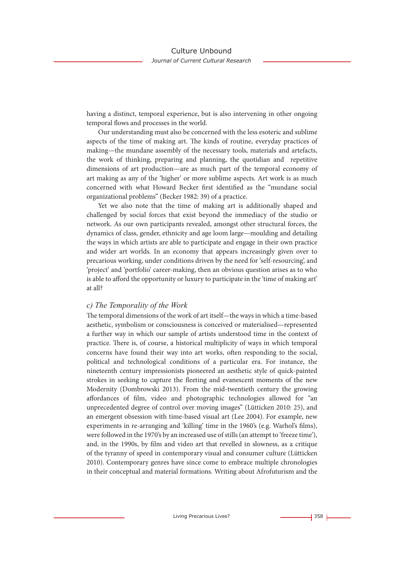having a distinct, temporal experience, but is also intervening in other ongoing temporal flows and processes in the world.

Our understanding must also be concerned with the less esoteric and sublime aspects of the time of making art. The kinds of routine, everyday practices of making—the mundane assembly of the necessary tools, materials and artefacts, the work of thinking, preparing and planning, the quotidian and repetitive dimensions of art production—are as much part of the temporal economy of art making as any of the 'higher' or more sublime aspects. Art work is as much concerned with what Howard Becker first identified as the "mundane social organizational problems" (Becker 1982: 39) of a practice.

Yet we also note that the time of making art is additionally shaped and challenged by social forces that exist beyond the immediacy of the studio or network. As our own participants revealed, amongst other structural forces, the dynamics of class, gender, ethnicity and age loom large—moulding and detailing the ways in which artists are able to participate and engage in their own practice and wider art worlds. In an economy that appears increasingly given over to precarious working, under conditions driven by the need for 'self-resourcing', and 'project' and 'portfolio' career-making, then an obvious question arises as to who is able to afford the opportunity or luxury to participate in the 'time of making art' at all?

#### *c) The Temporality of the Work*

The temporal dimensions of the work of art itself—the ways in which a time-based aesthetic, symbolism or consciousness is conceived or materialised—represented a further way in which our sample of artists understood time in the context of practice. There is, of course, a historical multiplicity of ways in which temporal concerns have found their way into art works, often responding to the social, political and technological conditions of a particular era. For instance, the nineteenth century impressionists pioneered an aesthetic style of quick-painted strokes in seeking to capture the fleeting and evanescent moments of the new Modernity (Dombrowski 2013). From the mid-twentieth century the growing affordances of film, video and photographic technologies allowed for "an unprecedented degree of control over moving images" (Lütticken 2010: 25), and an emergent obsession with time-based visual art (Lee 2004). For example, new experiments in re-arranging and 'killing' time in the 1960's (e.g. Warhol's films), were followed in the 1970's by an increased use of stills (an attempt to 'freeze time'), and, in the 1990s, by film and video art that revelled in slowness, as a critique of the tyranny of speed in contemporary visual and consumer culture (Lütticken 2010). Contemporary genres have since come to embrace multiple chronologies in their conceptual and material formations. Writing about Afrofuturism and the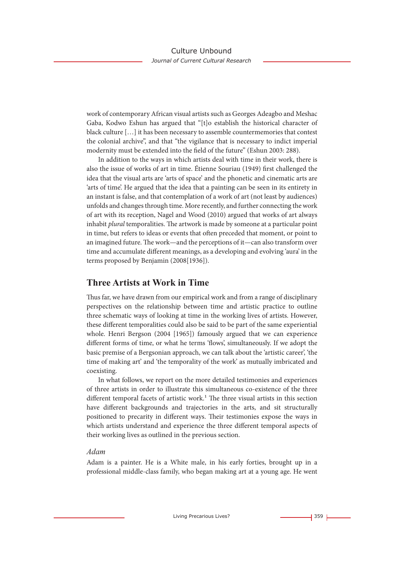work of contemporary African visual artists such as Georges Adeagbo and Meshac Gaba, Kodwo Eshun has argued that "[t]o establish the historical character of black culture […] it has been necessary to assemble countermemories that contest the colonial archive", and that "the vigilance that is necessary to indict imperial modernity must be extended into the field of the future" (Eshun 2003: 288).

In addition to the ways in which artists deal with time in their work, there is also the issue of works of art in time. Étienne Souriau (1949) first challenged the idea that the visual arts are 'arts of space' and the phonetic and cinematic arts are 'arts of time'. He argued that the idea that a painting can be seen in its entirety in an instant is false, and that contemplation of a work of art (not least by audiences) unfolds and changes through time. More recently, and further connecting the work of art with its reception, Nagel and Wood (2010) argued that works of art always inhabit *plural* temporalities. The artwork is made by someone at a particular point in time, but refers to ideas or events that often preceded that moment, or point to an imagined future. The work—and the perceptions of it—can also transform over time and accumulate different meanings, as a developing and evolving 'aura' in the terms proposed by Benjamin (2008[1936]).

## **Three Artists at Work in Time**

Thus far, we have drawn from our empirical work and from a range of disciplinary perspectives on the relationship between time and artistic practice to outline three schematic ways of looking at time in the working lives of artists. However, these different temporalities could also be said to be part of the same experiential whole. Henri Bergson (2004 [1965]) famously argued that we can experience different forms of time, or what he terms 'flows', simultaneously. If we adopt the basic premise of a Bergsonian approach, we can talk about the 'artistic career', 'the time of making art' and 'the temporality of the work' as mutually imbricated and coexisting.

In what follows, we report on the more detailed testimonies and experiences of three artists in order to illustrate this simultaneous co-existence of the three different temporal facets of artistic work.<sup>1</sup> The three visual artists in this section have different backgrounds and trajectories in the arts, and sit structurally positioned to precarity in different ways. Their testimonies expose the ways in which artists understand and experience the three different temporal aspects of their working lives as outlined in the previous section.

#### *Adam*

Adam is a painter. He is a White male, in his early forties, brought up in a professional middle-class family, who began making art at a young age. He went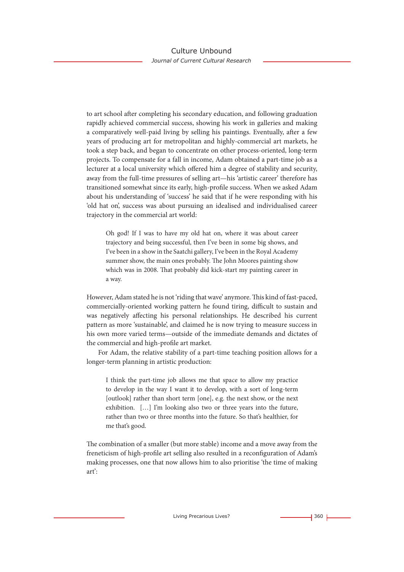to art school after completing his secondary education, and following graduation rapidly achieved commercial success, showing his work in galleries and making a comparatively well-paid living by selling his paintings. Eventually, after a few years of producing art for metropolitan and highly-commercial art markets, he took a step back, and began to concentrate on other process-oriented, long-term projects. To compensate for a fall in income, Adam obtained a part-time job as a lecturer at a local university which offered him a degree of stability and security, away from the full-time pressures of selling art—his 'artistic career' therefore has transitioned somewhat since its early, high-profile success. When we asked Adam about his understanding of 'success' he said that if he were responding with his 'old hat on', success was about pursuing an idealised and individualised career trajectory in the commercial art world:

Oh god! If I was to have my old hat on, where it was about career trajectory and being successful, then I've been in some big shows, and I've been in a show in the Saatchi gallery, I've been in the Royal Academy summer show, the main ones probably. The John Moores painting show which was in 2008. That probably did kick-start my painting career in a way.

However, Adam stated he is not 'riding that wave' anymore. This kind of fast-paced, commercially-oriented working pattern he found tiring, difficult to sustain and was negatively affecting his personal relationships. He described his current pattern as more 'sustainable', and claimed he is now trying to measure success in his own more varied terms—outside of the immediate demands and dictates of the commercial and high-profile art market.

For Adam, the relative stability of a part-time teaching position allows for a longer-term planning in artistic production:

I think the part-time job allows me that space to allow my practice to develop in the way I want it to develop, with a sort of long-term [outlook] rather than short term [one], e.g. the next show, or the next exhibition. […] I'm looking also two or three years into the future, rather than two or three months into the future. So that's healthier, for me that's good.

The combination of a smaller (but more stable) income and a move away from the freneticism of high-profile art selling also resulted in a reconfiguration of Adam's making processes, one that now allows him to also prioritise 'the time of making art':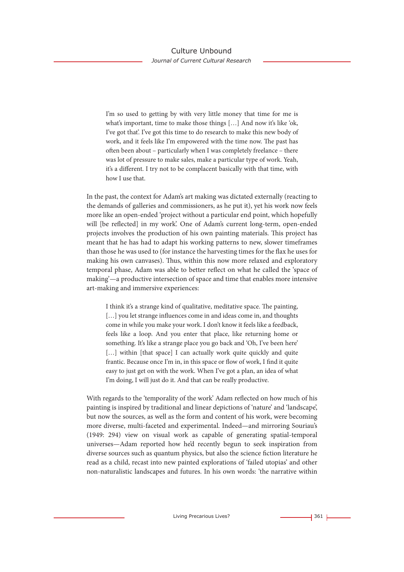I'm so used to getting by with very little money that time for me is what's important, time to make those things [...] And now it's like 'ok, I've got that'. I've got this time to do research to make this new body of work, and it feels like I'm empowered with the time now. The past has often been about – particularly when I was completely freelance – there was lot of pressure to make sales, make a particular type of work. Yeah, it's a different. I try not to be complacent basically with that time, with how I use that.

In the past, the context for Adam's art making was dictated externally (reacting to the demands of galleries and commissioners, as he put it), yet his work now feels more like an open-ended 'project without a particular end point, which hopefully will [be reflected] in my work'. One of Adam's current long-term, open-ended projects involves the production of his own painting materials. This project has meant that he has had to adapt his working patterns to new, slower timeframes than those he was used to (for instance the harvesting times for the flax he uses for making his own canvases). Thus, within this now more relaxed and exploratory temporal phase, Adam was able to better reflect on what he called the 'space of making'—a productive intersection of space and time that enables more intensive art-making and immersive experiences:

I think it's a strange kind of qualitative, meditative space. The painting, [...] you let strange influences come in and ideas come in, and thoughts come in while you make your work. I don't know it feels like a feedback, feels like a loop. And you enter that place, like returning home or something. It's like a strange place you go back and 'Oh, I've been here' [...] within [that space] I can actually work quite quickly and quite frantic. Because once I'm in, in this space or flow of work, I find it quite easy to just get on with the work. When I've got a plan, an idea of what I'm doing, I will just do it. And that can be really productive.

With regards to the 'temporality of the work' Adam reflected on how much of his painting is inspired by traditional and linear depictions of 'nature' and 'landscape', but now the sources, as well as the form and content of his work, were becoming more diverse, multi-faceted and experimental. Indeed—and mirroring Souriau's (1949: 294) view on visual work as capable of generating spatial-temporal universes—Adam reported how he'd recently begun to seek inspiration from diverse sources such as quantum physics, but also the science fiction literature he read as a child, recast into new painted explorations of 'failed utopias' and other non-naturalistic landscapes and futures. In his own words: 'the narrative within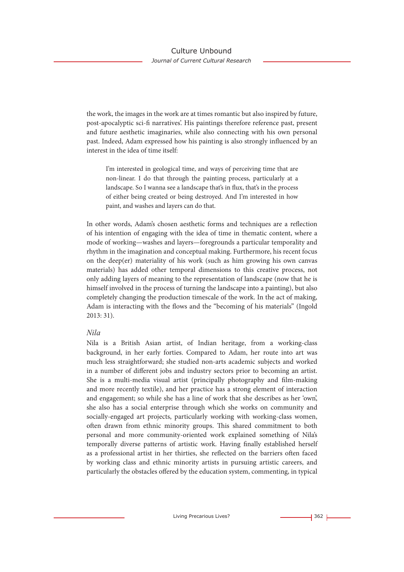the work, the images in the work are at times romantic but also inspired by future, post-apocalyptic sci-fi narratives'. His paintings therefore reference past, present and future aesthetic imaginaries, while also connecting with his own personal past. Indeed, Adam expressed how his painting is also strongly influenced by an interest in the idea of time itself:

I'm interested in geological time, and ways of perceiving time that are non-linear. I do that through the painting process, particularly at a landscape. So I wanna see a landscape that's in flux, that's in the process of either being created or being destroyed. And I'm interested in how paint, and washes and layers can do that.

In other words, Adam's chosen aesthetic forms and techniques are a reflection of his intention of engaging with the idea of time in thematic content, where a mode of working—washes and layers—foregrounds a particular temporality and rhythm in the imagination and conceptual making. Furthermore, his recent focus on the deep(er) materiality of his work (such as him growing his own canvas materials) has added other temporal dimensions to this creative process, not only adding layers of meaning to the representation of landscape (now that he is himself involved in the process of turning the landscape into a painting), but also completely changing the production timescale of the work. In the act of making, Adam is interacting with the flows and the "becoming of his materials" (Ingold 2013: 31).

#### *Nila*

Nila is a British Asian artist, of Indian heritage, from a working-class background, in her early forties. Compared to Adam, her route into art was much less straightforward; she studied non-arts academic subjects and worked in a number of different jobs and industry sectors prior to becoming an artist. She is a multi-media visual artist (principally photography and film-making and more recently textile), and her practice has a strong element of interaction and engagement; so while she has a line of work that she describes as her 'own', she also has a social enterprise through which she works on community and socially-engaged art projects, particularly working with working-class women, often drawn from ethnic minority groups. This shared commitment to both personal and more community-oriented work explained something of Nila's temporally diverse patterns of artistic work. Having finally established herself as a professional artist in her thirties, she reflected on the barriers often faced by working class and ethnic minority artists in pursuing artistic careers, and particularly the obstacles offered by the education system, commenting, in typical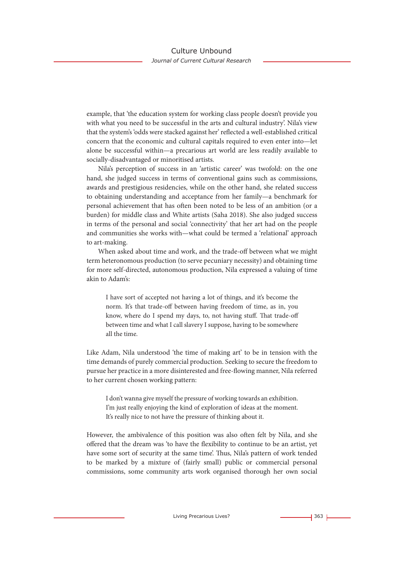example, that 'the education system for working class people doesn't provide you with what you need to be successful in the arts and cultural industry'. Nila's view that the system's 'odds were stacked against her' reflected a well-established critical concern that the economic and cultural capitals required to even enter into—let alone be successful within—a precarious art world are less readily available to socially-disadvantaged or minoritised artists.

Nila's perception of success in an 'artistic career' was twofold: on the one hand, she judged success in terms of conventional gains such as commissions, awards and prestigious residencies, while on the other hand, she related success to obtaining understanding and acceptance from her family—a benchmark for personal achievement that has often been noted to be less of an ambition (or a burden) for middle class and White artists (Saha 2018). She also judged success in terms of the personal and social 'connectivity' that her art had on the people and communities she works with—what could be termed a 'relational' approach to art-making.

When asked about time and work, and the trade-off between what we might term heteronomous production (to serve pecuniary necessity) and obtaining time for more self-directed, autonomous production, Nila expressed a valuing of time akin to Adam's:

I have sort of accepted not having a lot of things, and it's become the norm. It's that trade-off between having freedom of time, as in, you know, where do I spend my days, to, not having stuff. That trade-off between time and what I call slavery I suppose, having to be somewhere all the time.

Like Adam, Nila understood 'the time of making art' to be in tension with the time demands of purely commercial production. Seeking to secure the freedom to pursue her practice in a more disinterested and free-flowing manner, Nila referred to her current chosen working pattern:

I don't wanna give myself the pressure of working towards an exhibition. I'm just really enjoying the kind of exploration of ideas at the moment. It's really nice to not have the pressure of thinking about it.

However, the ambivalence of this position was also often felt by Nila, and she offered that the dream was 'to have the flexibility to continue to be an artist, yet have some sort of security at the same time'. Thus, Nila's pattern of work tended to be marked by a mixture of (fairly small) public or commercial personal commissions, some community arts work organised thorough her own social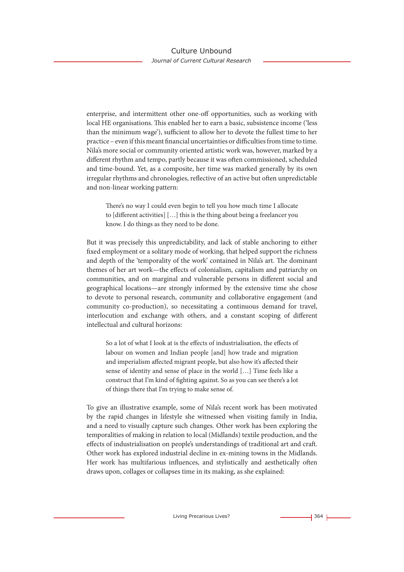enterprise, and intermittent other one-off opportunities, such as working with local HE organisations. This enabled her to earn a basic, subsistence income ('less than the minimum wage'), sufficient to allow her to devote the fullest time to her practice – even if this meant financial uncertainties or difficulties from time to time. Nila's more social or community oriented artistic work was, however, marked by a different rhythm and tempo, partly because it was often commissioned, scheduled and time-bound. Yet, as a composite, her time was marked generally by its own irregular rhythms and chronologies, reflective of an active but often unpredictable and non-linear working pattern:

There's no way I could even begin to tell you how much time I allocate to [different activities] […] this is the thing about being a freelancer you know. I do things as they need to be done.

But it was precisely this unpredictability, and lack of stable anchoring to either fixed employment or a solitary mode of working, that helped support the richness and depth of the 'temporality of the work' contained in Nila's art. The dominant themes of her art work—the effects of colonialism, capitalism and patriarchy on communities, and on marginal and vulnerable persons in different social and geographical locations—are strongly informed by the extensive time she chose to devote to personal research, community and collaborative engagement (and community co-production), so necessitating a continuous demand for travel, interlocution and exchange with others, and a constant scoping of different intellectual and cultural horizons:

So a lot of what I look at is the effects of industrialisation, the effects of labour on women and Indian people [and] how trade and migration and imperialism affected migrant people, but also how it's affected their sense of identity and sense of place in the world […] Time feels like a construct that I'm kind of fighting against. So as you can see there's a lot of things there that I'm trying to make sense of.

To give an illustrative example, some of Nila's recent work has been motivated by the rapid changes in lifestyle she witnessed when visiting family in India, and a need to visually capture such changes. Other work has been exploring the temporalities of making in relation to local (Midlands) textile production, and the effects of industrialisation on people's understandings of traditional art and craft. Other work has explored industrial decline in ex-mining towns in the Midlands. Her work has multifarious influences, and stylistically and aesthetically often draws upon, collages or collapses time in its making, as she explained: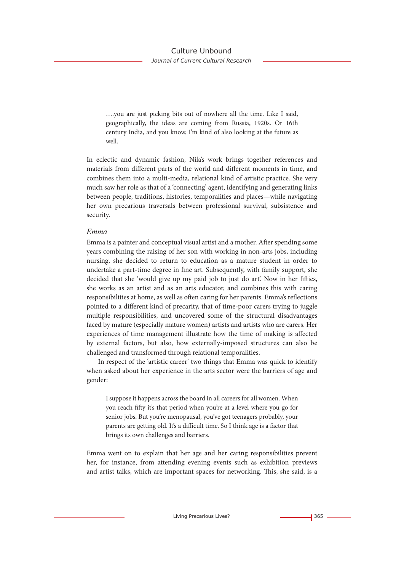*Journal of Current Cultural Research*

….you are just picking bits out of nowhere all the time. Like I said, geographically, the ideas are coming from Russia, 1920s. Or 16th century India, and you know, I'm kind of also looking at the future as well.

In eclectic and dynamic fashion, Nila's work brings together references and materials from different parts of the world and different moments in time, and combines them into a multi-media, relational kind of artistic practice. She very much saw her role as that of a 'connecting' agent, identifying and generating links between people, traditions, histories, temporalities and places—while navigating her own precarious traversals between professional survival, subsistence and security.

#### *Emma*

Emma is a painter and conceptual visual artist and a mother. After spending some years combining the raising of her son with working in non-arts jobs, including nursing, she decided to return to education as a mature student in order to undertake a part-time degree in fine art. Subsequently, with family support, she decided that she 'would give up my paid job to just do art'. Now in her fifties, she works as an artist and as an arts educator, and combines this with caring responsibilities at home, as well as often caring for her parents. Emma's reflections pointed to a different kind of precarity, that of time-poor carers trying to juggle multiple responsibilities, and uncovered some of the structural disadvantages faced by mature (especially mature women) artists and artists who are carers. Her experiences of time management illustrate how the time of making is affected by external factors, but also, how externally-imposed structures can also be challenged and transformed through relational temporalities.

In respect of the 'artistic career' two things that Emma was quick to identify when asked about her experience in the arts sector were the barriers of age and gender:

I suppose it happens across the board in all careers for all women. When you reach fifty it's that period when you're at a level where you go for senior jobs. But you're menopausal, you've got teenagers probably, your parents are getting old. It's a difficult time. So I think age is a factor that brings its own challenges and barriers.

Emma went on to explain that her age and her caring responsibilities prevent her, for instance, from attending evening events such as exhibition previews and artist talks, which are important spaces for networking. This, she said, is a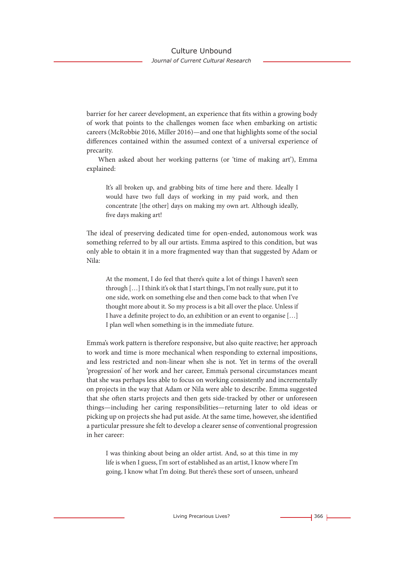## Culture Unbound

#### *Journal of Current Cultural Research*

barrier for her career development, an experience that fits within a growing body of work that points to the challenges women face when embarking on artistic careers (McRobbie 2016, Miller 2016)—and one that highlights some of the social differences contained within the assumed context of a universal experience of precarity.

When asked about her working patterns (or 'time of making art'), Emma explained:

It's all broken up, and grabbing bits of time here and there. Ideally I would have two full days of working in my paid work, and then concentrate [the other] days on making my own art. Although ideally, five days making art!

The ideal of preserving dedicated time for open-ended, autonomous work was something referred to by all our artists. Emma aspired to this condition, but was only able to obtain it in a more fragmented way than that suggested by Adam or Nila:

At the moment, I do feel that there's quite a lot of things I haven't seen through […] I think it's ok that I start things, I'm not really sure, put it to one side, work on something else and then come back to that when I've thought more about it. So my process is a bit all over the place. Unless if I have a definite project to do, an exhibition or an event to organise […] I plan well when something is in the immediate future.

Emma's work pattern is therefore responsive, but also quite reactive; her approach to work and time is more mechanical when responding to external impositions, and less restricted and non-linear when she is not. Yet in terms of the overall 'progression' of her work and her career, Emma's personal circumstances meant that she was perhaps less able to focus on working consistently and incrementally on projects in the way that Adam or Nila were able to describe. Emma suggested that she often starts projects and then gets side-tracked by other or unforeseen things—including her caring responsibilities—returning later to old ideas or picking up on projects she had put aside. At the same time, however, she identified a particular pressure she felt to develop a clearer sense of conventional progression in her career:

I was thinking about being an older artist. And, so at this time in my life is when I guess, I'm sort of established as an artist, I know where I'm going, I know what I'm doing. But there's these sort of unseen, unheard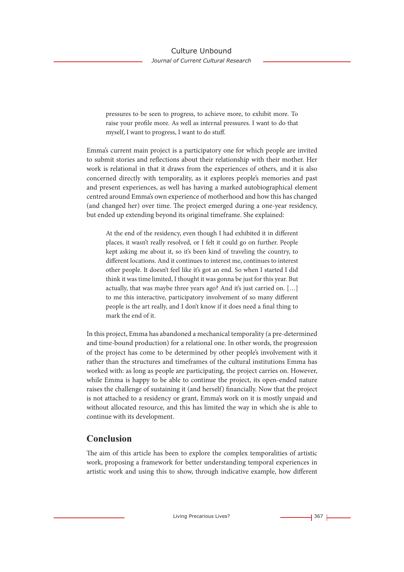pressures to be seen to progress, to achieve more, to exhibit more. To raise your profile more. As well as internal pressures. I want to do that myself, I want to progress, I want to do stuff.

Emma's current main project is a participatory one for which people are invited to submit stories and reflections about their relationship with their mother. Her work is relational in that it draws from the experiences of others, and it is also concerned directly with temporality, as it explores people's memories and past and present experiences, as well has having a marked autobiographical element centred around Emma's own experience of motherhood and how this has changed (and changed her) over time. The project emerged during a one-year residency, but ended up extending beyond its original timeframe. She explained:

At the end of the residency, even though I had exhibited it in different places, it wasn't really resolved, or I felt it could go on further. People kept asking me about it, so it's been kind of traveling the country, to different locations. And it continues to interest me, continues to interest other people. It doesn't feel like it's got an end. So when I started I did think it was time limited, I thought it was gonna be just for this year. But actually, that was maybe three years ago? And it's just carried on. […] to me this interactive, participatory involvement of so many different people is the art really, and I don't know if it does need a final thing to mark the end of it.

In this project, Emma has abandoned a mechanical temporality (a pre-determined and time-bound production) for a relational one. In other words, the progression of the project has come to be determined by other people's involvement with it rather than the structures and timeframes of the cultural institutions Emma has worked with: as long as people are participating, the project carries on. However, while Emma is happy to be able to continue the project, its open-ended nature raises the challenge of sustaining it (and herself) financially. Now that the project is not attached to a residency or grant, Emma's work on it is mostly unpaid and without allocated resource, and this has limited the way in which she is able to continue with its development.

## **Conclusion**

The aim of this article has been to explore the complex temporalities of artistic work, proposing a framework for better understanding temporal experiences in artistic work and using this to show, through indicative example, how different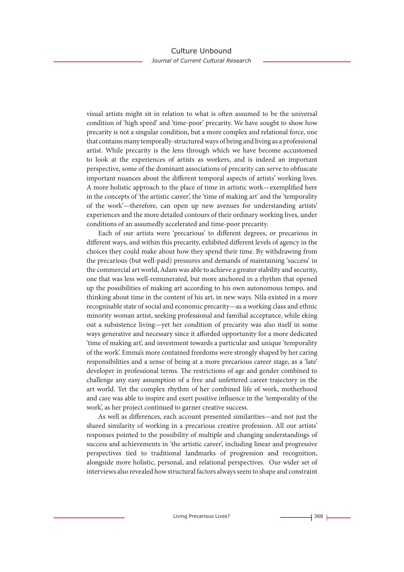visual artists might sit in relation to what is often assumed to be the universal condition of 'high speed' and 'time-poor' precarity. We have sought to show how precarity is not a singular condition, but a more complex and relational force, one that contains many temporally-structured ways of being and living as a professional artist. While precarity is the lens through which we have become accustomed to look at the experiences of artists as workers, and is indeed an important perspective, some of the dominant associations of precarity can serve to obfuscate important nuances about the different temporal aspects of artists' working lives. A more holistic approach to the place of time in artistic work—exemplified here in the concepts of 'the artistic career', the 'time of making art' and the 'temporality of the work'—therefore, can open up new avenues for understanding artists' experiences and the more detailed contours of their ordinary working lives, under conditions of an assumedly accelerated and time-poor precarity.

Each of our artists were 'precarious' to different degrees, or precarious in different ways, and within this precarity, exhibited different levels of agency in the choices they could make about how they spend their time. By withdrawing from the precarious (but well-paid) pressures and demands of maintaining 'success' in the commercial art world, Adam was able to achieve a greater stability and security, one that was less well-remunerated, but more anchored in a rhythm that opened up the possibilities of making art according to his own autonomous tempo, and thinking about time in the content of his art, in new ways. Nila existed in a more recognisable state of social and economic precarity—as a working class and ethnic minority woman artist, seeking professional and familial acceptance, while eking out a subsistence living—yet her condition of precarity was also itself in some ways generative and necessary since it afforded opportunity for a more dedicated 'time of making art', and investment towards a particular and unique 'temporality of the work'. Emma's more contained freedoms were strongly shaped by her caring responsibilities and a sense of being at a more precarious career stage, as a 'late' developer in professional terms. The restrictions of age and gender combined to challenge any easy assumption of a free and unfettered career trajectory in the art world. Yet the complex rhythm of her combined life of work, motherhood and care was able to inspire and exert positive influence in the 'temporality of the work', as her project continued to garner creative success.

As well as differences, each account presented similarities—and not just the shared similarity of working in a precarious creative profession. All our artists' responses pointed to the possibility of multiple and changing understandings of success and achievements in 'the artistic career', including linear and progressive perspectives tied to traditional landmarks of progression and recognition, alongside more holistic, personal, and relational perspectives. Our wider set of interviews also revealed how structural factors always seem to shape and constraint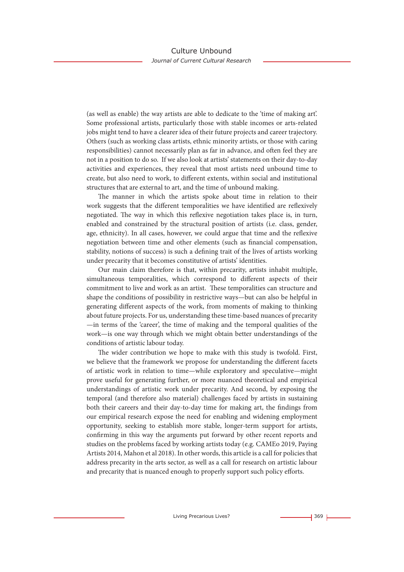(as well as enable) the way artists are able to dedicate to the 'time of making art'. Some professional artists, particularly those with stable incomes or arts-related jobs might tend to have a clearer idea of their future projects and career trajectory. Others (such as working class artists, ethnic minority artists, or those with caring responsibilities) cannot necessarily plan as far in advance, and often feel they are not in a position to do so. If we also look at artists' statements on their day-to-day activities and experiences, they reveal that most artists need unbound time to create, but also need to work, to different extents, within social and institutional structures that are external to art, and the time of unbound making.

The manner in which the artists spoke about time in relation to their work suggests that the different temporalities we have identified are reflexively negotiated. The way in which this reflexive negotiation takes place is, in turn, enabled and constrained by the structural position of artists (i.e. class, gender, age, ethnicity). In all cases, however, we could argue that time and the reflexive negotiation between time and other elements (such as financial compensation, stability, notions of success) is such a defining trait of the lives of artists working under precarity that it becomes constitutive of artists' identities.

Our main claim therefore is that, within precarity, artists inhabit multiple, simultaneous temporalities, which correspond to different aspects of their commitment to live and work as an artist. These temporalities can structure and shape the conditions of possibility in restrictive ways—but can also be helpful in generating different aspects of the work, from moments of making to thinking about future projects. For us, understanding these time-based nuances of precarity —in terms of the 'career', the time of making and the temporal qualities of the work—is one way through which we might obtain better understandings of the conditions of artistic labour today.

The wider contribution we hope to make with this study is twofold. First, we believe that the framework we propose for understanding the different facets of artistic work in relation to time—while exploratory and speculative—might prove useful for generating further, or more nuanced theoretical and empirical understandings of artistic work under precarity. And second, by exposing the temporal (and therefore also material) challenges faced by artists in sustaining both their careers and their day-to-day time for making art, the findings from our empirical research expose the need for enabling and widening employment opportunity, seeking to establish more stable, longer-term support for artists, confirming in this way the arguments put forward by other recent reports and studies on the problems faced by working artists today (e.g. CAMEo 2019, Paying Artists 2014, Mahon et al 2018). In other words, this article is a call for policies that address precarity in the arts sector, as well as a call for research on artistic labour and precarity that is nuanced enough to properly support such policy efforts.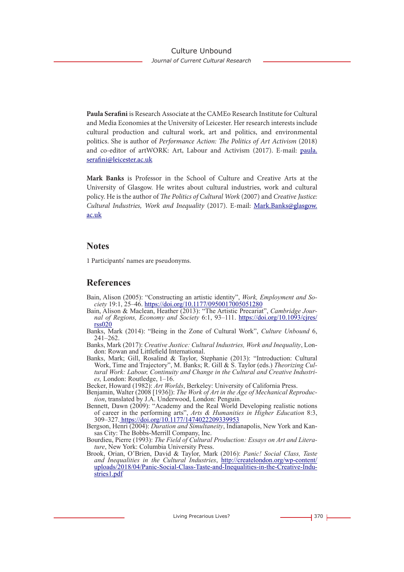**Paula Serafini** is Research Associate at the CAMEo Research Institute for Cultural and Media Economies at the University of Leicester. Her research interests include cultural production and cultural work, art and politics, and environmental politics. She is author of *Performance Action: The Politics of Art Activism* (2018) and co-editor of artWORK: Art, Labour and Activism (2017). E-mail: paula. serafini@leicester.ac.uk

**Mark Banks** is Professor in the School of Culture and Creative Arts at the University of Glasgow. He writes about cultural industries, work and cultural policy. He is the author of *The Politics of Cultural Work* (2007) and *Creative Justice: Cultural Industries, Work and Inequality* (2017). E-mail: Mark.Banks@glasgow. ac.uk

## **Notes**

1 Participants' names are pseudonyms.

## **References**

- Bain, Alison (2005): "Constructing an artistic identity", *Work, Employment and Society* 19:1, 25–46. https://doi.org/10.1177/0950017005051280
- Bain, Alison & Maclean, Heather (2013): "The Artistic Precariat", *Cambridge Journal of Regions, Economy and Society* 6:1, 93–111. https://doi.org/10.1093/cjres/  $rss020$
- Banks, Mark (2014): "Being in the Zone of Cultural Work", *Culture Unbound* 6, 241–262.
- Banks, Mark (2017): *Creative Justice: Cultural Industries, Work and Inequality*, London: Rowan and Littlefield International.
- Banks, Mark; Gill, Rosalind & Taylor, Stephanie (2013): "Introduction: Cultural Work, Time and Trajectory", M. Banks; R. Gill & S. Taylor (eds.) *Theorizing Cultural Work: Labour, Continuity and Change in the Cultural and Creative Industries,* London: Routledge, 1–16.

Becker, Howard (1982): *Art Worlds*, Berkeley: University of California Press.

- Benjamin, Walter (2008 [1936]): *The Work of Art in the Age of Mechanical Reproduc- tion*, translated by J.A. Underwood, London: Penguin.
- Bennett, Dawn (2009): "Academy and the Real World Developing realistic notions of career in the performing arts", *Arts & Humanities in Higher Education* 8:3, 309–327. https://doi.org/10.1177/1474022209339953

Bergson, Henri (2004): *Duration and Simultaneity*, Indianapolis, New York and Kansas City: The Bobbs-Merrill Company, Inc.

- Bourdieu, Pierre (1993): *The Field of Cultural Production: Essays on Art and Literature*, New York: Columbia University Press.
- Brook, Orian, O'Brien, David & Taylor, Mark (2016): *Panic! Social Class, Taste and Inequalities in the Cultural Industries*, http://createlondon.org/wp-content/ uploads/2018/04/Panic-Social-Class-Taste-and-Inequalities-in-the-Creative-Indu- stries1.pdf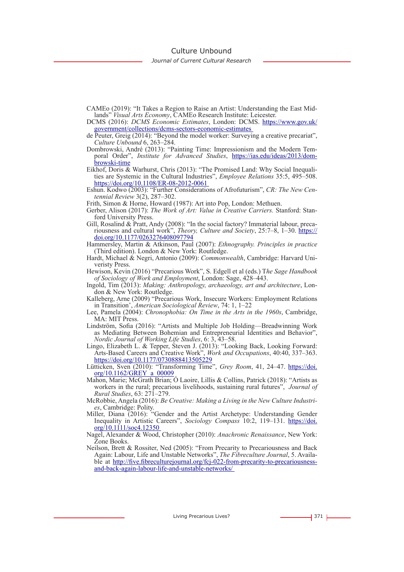Culture Unbound

*Journal of Current Cultural Research*

- CAMEo (2019): "It Takes a Region to Raise an Artist: Understanding the East Midlands" *Visual Arts Economy*, CAMEo Research Institute: Leicester.
- DCMS (2016): *DCMS Economic Estimates*, London: DCMS. https://www.gov.uk/ government/collections/dcms-sectors-economic-estimates
- de Peuter, Greig (2014): "Beyond the model worker: Surveying a creative precariat", *Culture Unbound* 6, 263–284.
- Dombrowski, André (2013): "Painting Time: Impressionism and the Modern Temporal Order", *Institute for Advanced Studies*, https://ias.edu/ideas/2013/dombrowski-time
- Eikhof, Doris & Warhurst, Chris (2013): "The Promised Land: Why Social Inequalities are Systemic in the Cultural Industries", *Employee Relations* 35:5, 495–508. https://doi.org/10.1108/ER-08-2012-0061
- Eshun. Kodwo (2003): "Further Considerations of Afrofuturism", *CR: The New Centennial Review* 3(2), 287–302.
- Frith, Simon & Horne, Howard (1987): Art into Pop, London: Methuen.
- Gerber, Alison (2017): *The Work of Art: Value in Creative Carriers.* Stanford: Stan-
- ford University Press.<br>Gill, Rosalind & Pratt, Andy (2008): "In the social factory? Immaterial labour, precariousness and cultural work", Theory, Culture and Society, 25:7–8, 1–30. https:// doi.org/10.1177/0263276408097794
- Hammersley, Martin & Atkinson, Paul (2007): *Ethnography. Principles in practice* (Third edition). London & New York: Routledge.
- Hardt, Michael & Negri, Antonio (2009): *Commonwealth*, Cambridge: Harvard Uni- veristy Press.
- Hewison, Kevin (2016) "Precarious Work", S. Edgell et al (eds.) T*he Sage Handbook of Sociology of Work and Employment*, London: Sage, 428–443.
- Ingold, Tim (2013): *Making: Anthropology, archaeology, art and architecture*, Lon- don & New York: Routledge.
- Kalleberg, Arne (2009) "Precarious Work, Insecure Workers: Employment Relations in Transition', *American Sociological Review*, 74: 1, 1–22
- Lee, Pamela (2004): *Chronophobia: On Time in the Arts in the 1960s*, Cambridge, MA: MIT Press.
- Lindström, Sofia (2016): "Artists and Multiple Job Holding—Breadwinning Work as Mediating Between Bohemian and Entrepreneurial Identities and Behavior", *Nordic Journal of Working Life Studies*, 6: 3, 43–58.
- Lingo, Elizabeth L. & Tepper, Steven J. (2013): "Looking Back, Looking Forward: Arts-Based Careers and Creative Work", *Work and Occupations*, 40:40, 337–363. https://doi.org/10.1177/0730888413505229

Lütticken, Sven (2010): "Transforming Time", *Grey Room*, 41, 24–47. https://doi.<br>
org/10.1162/GREY a 00009

- Mahon, Marie; McGrath Brian; Ó Laoire, Lillis & Collins, Patrick (2018): "Artists as workers in the rural; precarious livelihoods, sustaining rural futures", *Journal of Rural Studies*, 63: 271–279.
- McRobbie, Angela (2016): *Be Creative: Making a Living in the New Culture Industries*, Cambridge: Polity.
- Miller, Diana (2016): "Gender and the Artist Archetype: Understanding Gender Inequality in Artistic Careers", *Sociology Compass* 10:2, 119–131. https://doi. org/10.1111/soc4.12350
- Nagel, Alexander & Wood, Christopher (2010): *Anachronic Renaissance*, New York: Zone Books.
- Neilson, Brett & Rossiter, Ned (2005): "From Precarity to Precariousness and Back Again: Labour, Life and Unstable Networks", *The Fibreculture Journal*, 5. Available at http://five.fibreculturejournal.org/fcj-022-from-precarity-to-precariousnessand-back-again-labour-life-and-unstable-networks/